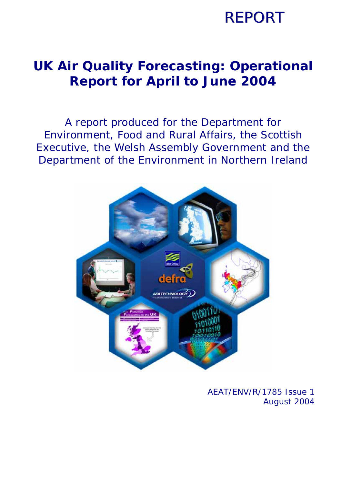## **REPORT**

### **UK Air Quality Forecasting: Operational Report for April to June 2004**

A report produced for the Department for Environment, Food and Rural Affairs, the Scottish Executive, the Welsh Assembly Government and the Department of the Environment in Northern Ireland



AEAT/ENV/R/1785 Issue 1 August 2004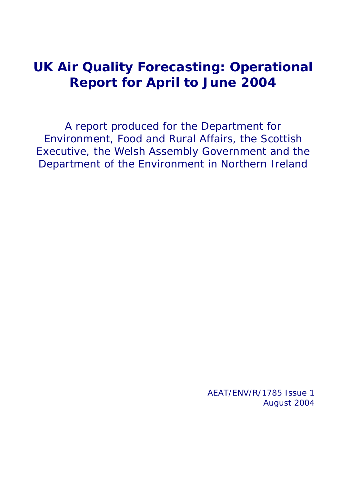### **UK Air Quality Forecasting: Operational Report for April to June 2004**

A report produced for the Department for Environment, Food and Rural Affairs, the Scottish Executive, the Welsh Assembly Government and the Department of the Environment in Northern Ireland

> AEAT/ENV/R/1785 Issue 1 August 2004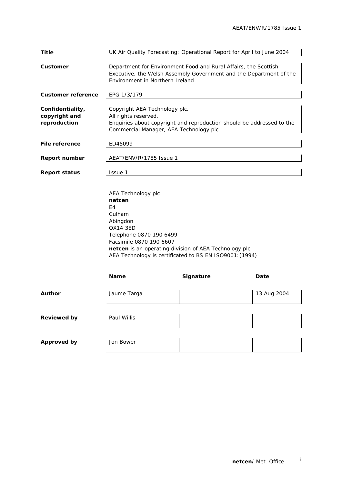| <b>Title</b>                                      |                                                                                                                                                                           | UK Air Quality Forecasting: Operational Report for April to June 2004                                                                 |             |  |  |  |  |  |
|---------------------------------------------------|---------------------------------------------------------------------------------------------------------------------------------------------------------------------------|---------------------------------------------------------------------------------------------------------------------------------------|-------------|--|--|--|--|--|
| Customer                                          | Environment in Northern Ireland                                                                                                                                           | Department for Environment Food and Rural Affairs, the Scottish<br>Executive, the Welsh Assembly Government and the Department of the |             |  |  |  |  |  |
| <b>Customer reference</b>                         | EPG 1/3/179                                                                                                                                                               |                                                                                                                                       |             |  |  |  |  |  |
| Confidentiality,<br>copyright and<br>reproduction | Copyright AEA Technology plc.<br>All rights reserved.<br>Enquiries about copyright and reproduction should be addressed to the<br>Commercial Manager, AEA Technology plc. |                                                                                                                                       |             |  |  |  |  |  |
| <b>File reference</b>                             | ED45099                                                                                                                                                                   |                                                                                                                                       |             |  |  |  |  |  |
| <b>Report number</b>                              | AEAT/ENV/R/1785 Issue 1                                                                                                                                                   |                                                                                                                                       |             |  |  |  |  |  |
| <b>Report status</b>                              | Issue 1                                                                                                                                                                   |                                                                                                                                       |             |  |  |  |  |  |
|                                                   | AEA Technology plc<br>netcen<br>E4<br>Culham<br>Abingdon<br><b>OX14 3ED</b><br>Telephone 0870 190 6499<br>Facsimile 0870 190 6607                                         | netcen is an operating division of AEA Technology plc<br>AEA Technology is certificated to BS EN ISO9001: (1994)                      |             |  |  |  |  |  |
|                                                   | Name                                                                                                                                                                      | Signature                                                                                                                             | Date        |  |  |  |  |  |
| Author                                            | Jaume Targa                                                                                                                                                               |                                                                                                                                       | 13 Aug 2004 |  |  |  |  |  |
| <b>Reviewed by</b>                                | Paul Willis                                                                                                                                                               |                                                                                                                                       |             |  |  |  |  |  |
| <b>Approved by</b>                                | Jon Bower                                                                                                                                                                 |                                                                                                                                       |             |  |  |  |  |  |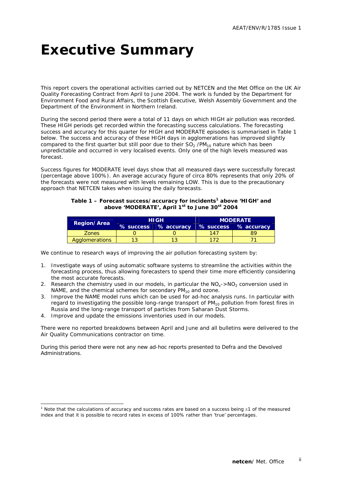### **Executive Summary**

This report covers the operational activities carried out by NETCEN and the Met Office on the UK Air Quality Forecasting Contract from April to June 2004. The work is funded by the Department for Environment Food and Rural Affairs, the Scottish Executive, Welsh Assembly Government and the Department of the Environment in Northern Ireland.

During the second period there were a total of 11 days on which HIGH air pollution was recorded. These HIGH periods get recorded within the forecasting success calculations. The forecasting success and accuracy for this quarter for HIGH and MODERATE episodes is summarised in Table 1 below. The success and accuracy of these HIGH days in agglomerations has improved slightly compared to the first quarter but still poor due to their  $SO<sub>2</sub>$  /PM<sub>10</sub> nature which has been unpredictable and occurred in very localised events. Only one of the high levels measured was forecast.

Success figures for MODERATE level days show that all measured days were successfully forecast (percentage above 100%). An average accuracy figure of circa 80% represents that only 20% of the forecasts were not measured with levels remaining LOW. This is due to the precautionary approach that NETCEN takes when issuing the daily forecasts.

#### Table 1 - Forecast success/accuracy for incidents<sup>1</sup> above 'HIGH' and **above 'MODERATE', April 1st to June 30st 2004**

|                    | <b>HIGH</b>          | <b>MODERATE</b> |                      |  |  |  |
|--------------------|----------------------|-----------------|----------------------|--|--|--|
| <b>Region/Area</b> | % success % accuracy |                 | % success % accuracy |  |  |  |
| <b>Zones</b>       |                      | 147             | χu                   |  |  |  |
| Agglomerations     |                      |                 |                      |  |  |  |

We continue to research ways of improving the air pollution forecasting system by:

- 1. Investigate ways of using automatic software systems to streamline the activities within the forecasting process, thus allowing forecasters to spend their time more efficiently considering the most accurate forecasts.
- 2. Research the chemistry used in our models, in particular the  $NO<sub>x</sub>$  >NO<sub>2</sub> conversion used in NAME, and the chemical schemes for secondary  $PM_{10}$  and ozone.
- 3. Improve the NAME model runs which can be used for ad-hoc analysis runs. In particular with regard to investigating the possible long-range transport of  $PM_{10}$  pollution from forest fires in Russia and the long-range transport of particles from Saharan Dust Storms.
- 4. Improve and update the emissions inventories used in our models.

ł

There were no reported breakdowns between April and June and all bulletins were delivered to the Air Quality Communications contractor on time.

During this period there were not any new ad-hoc reports presented to Defra and the Devolved Administrations.

<sup>&</sup>lt;sup>1</sup> Note that the calculations of accuracy and success rates are based on a success being ±1 of the measured index and that it is possible to record rates in excess of 100% rather than 'true' percentages.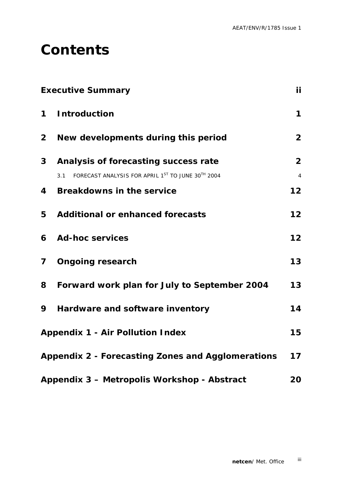### **Contents**

|              | <b>Executive Summary</b>                                 | <b>ii</b>               |
|--------------|----------------------------------------------------------|-------------------------|
| $\mathbf 1$  | <b>Introduction</b>                                      | $\mathbf 1$             |
| $\mathbf{2}$ | New developments during this period                      | $\overline{2}$          |
| 3            | Analysis of forecasting success rate                     | $\overline{2}$          |
|              | FORECAST ANALYSIS FOR APRIL 1ST TO JUNE 30TH 2004<br>3.1 | $\overline{\mathbf{4}}$ |
| 4            | <b>Breakdowns in the service</b>                         | 12                      |
| 5            | <b>Additional or enhanced forecasts</b>                  | 12                      |
| 6            | <b>Ad-hoc services</b>                                   | 12                      |
| $\mathbf{7}$ | <b>Ongoing research</b>                                  | 13                      |
| 8            | Forward work plan for July to September 2004             | 13                      |
| 9            | Hardware and software inventory                          | 14                      |
|              | <b>Appendix 1 - Air Pollution Index</b>                  | 15                      |
|              | Appendix 2 - Forecasting Zones and Agglomerations        | 17                      |
|              | Appendix 3 - Metropolis Workshop - Abstract              | 20                      |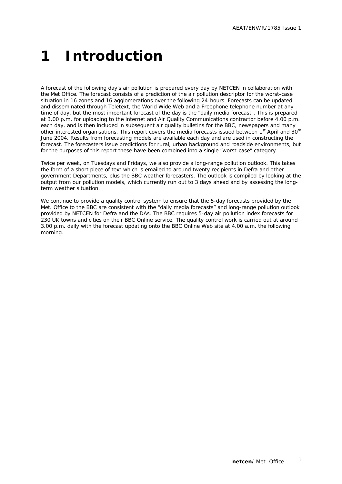# **1 Introduction**

A forecast of the following day's air pollution is prepared every day by NETCEN in collaboration with the Met Office. The forecast consists of a prediction of the air pollution descriptor for the worst-case situation in 16 zones and 16 agglomerations over the following 24-hours. Forecasts can be updated and disseminated through Teletext, the World Wide Web and a Freephone telephone number at any time of day, but the most important forecast of the day is the "daily media forecast". This is prepared at 3.00 p.m. for uploading to the internet and Air Quality Communications contractor before 4.00 p.m. each day, and is then included in subsequent air quality bulletins for the BBC, newspapers and many other interested organisations. This report covers the media forecasts issued between 1st April and 30<sup>th</sup> June 2004. Results from forecasting models are available each day and are used in constructing the forecast. The forecasters issue predictions for rural, urban background and roadside environments, but for the purposes of this report these have been combined into a single "worst-case" category.

Twice per week, on Tuesdays and Fridays, we also provide a long-range pollution outlook. This takes the form of a short piece of text which is emailed to around twenty recipients in Defra and other government Departments, plus the BBC weather forecasters. The outlook is compiled by looking at the output from our pollution models, which currently run out to 3 days ahead and by assessing the longterm weather situation.

We continue to provide a quality control system to ensure that the 5-day forecasts provided by the Met. Office to the BBC are consistent with the "daily media forecasts" and long-range pollution outlook provided by NETCEN for Defra and the DAs. The BBC requires 5-day air pollution index forecasts for 230 UK towns and cities on their BBC Online service. The quality control work is carried out at around 3.00 p.m. daily with the forecast updating onto the BBC Online Web site at 4.00 a.m. the following morning.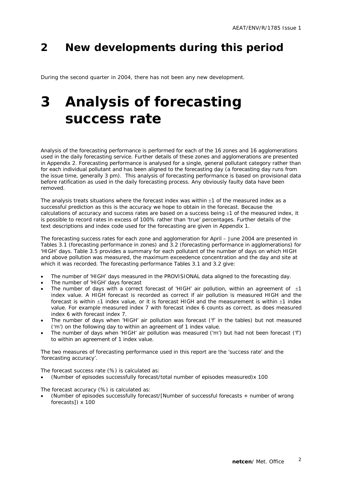### **2 New developments during this period**

During the second quarter in 2004, there has not been any new development.

## **3 Analysis of forecasting success rate**

Analysis of the forecasting performance is performed for each of the 16 zones and 16 agglomerations used in the daily forecasting service. Further details of these zones and agglomerations are presented in Appendix 2. Forecasting performance is analysed for a single, general pollutant category rather than for each individual pollutant and has been aligned to the forecasting day (a forecasting day runs from the issue time, generally 3 pm). This analysis of forecasting performance is based on provisional data before ratification as used in the daily forecasting process. Any obviously faulty data have been removed.

The analysis treats situations where the forecast index was within  $\pm 1$  of the measured index as a successful prediction as this is the accuracy we hope to obtain in the forecast. Because the calculations of accuracy and success rates are based on a success being  $\pm 1$  of the measured index, it is possible to record rates in excess of 100% rather than 'true' percentages. Further details of the text descriptions and index code used for the forecasting are given in Appendix 1.

The forecasting success rates for each zone and agglomeration for April – June 2004 are presented in Tables 3.1 (forecasting performance in zones) and 3.2 (forecasting performance in agglomerations) for 'HIGH' days. Table 3.5 provides a summary for each pollutant of the number of days on which HIGH and above pollution was measured, the maximum exceedence concentration and the day and site at which it was recorded. The forecasting performance Tables 3.1 and 3.2 give:

- The number of 'HIGH' days measured in the PROVISIONAL data aligned to the forecasting day.
- The number of 'HIGH' days forecast
- The number of days with a correct forecast of 'HIGH' air pollution, within an agreement of  $\pm 1$ index value. A HIGH forecast is recorded as correct if air pollution is measured HIGH and the forecast is within  $\pm 1$  index value, or it is forecast HIGH and the measurement is within  $\pm 1$  index value. For example measured index 7 with forecast index 6 counts as correct, as does measured index 6 with forecast index 7.
- The number of days when 'HIGH' air pollution was forecast ('f' in the tables) but not measured ('m') on the following day to within an agreement of 1 index value.
- The number of days when 'HIGH' air pollution was measured ('m') but had not been forecast ('f') to within an agreement of 1 index value.

The two measures of forecasting performance used in this report are the 'success rate' and the 'forecasting accuracy'.

The forecast success rate (%) is calculated as:

• (Number of episodes successfully forecast/total number of episodes measured)x 100

The forecast accuracy (%) is calculated as:

• (Number of episodes successfully forecast/[Number of successful forecasts + number of wrong forecasts]) x 100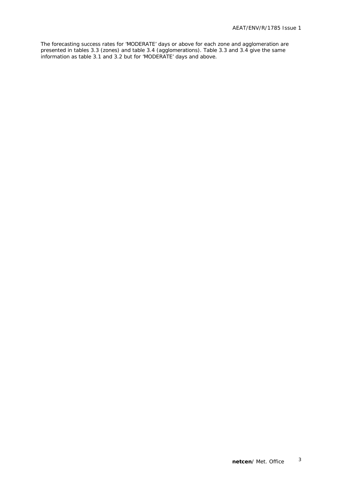The forecasting success rates for 'MODERATE' days or above for each zone and agglomeration are presented in tables 3.3 (zones) and table 3.4 (agglomerations). Table 3.3 and 3.4 give the same information as table 3.1 and 3.2 but for 'MODERATE' days and above.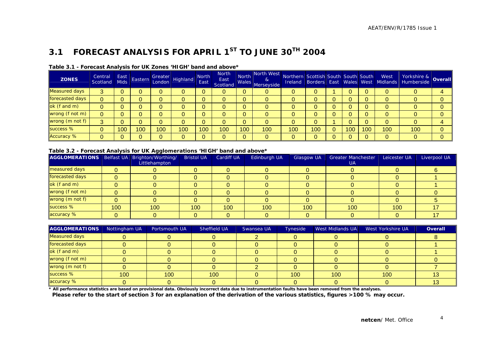### **3.1 FORECAST ANALYSIS FOR APRIL 1ST TO JUNE 30TH 2004**

| <b>ZONES</b>         | Central<br>Scotland | East<br><b>Mids</b> | Eastern        |     | Greater<br>London Highland | North<br>East | <b>North</b><br>East<br>Scotland | North        | North West<br>&<br>Males Merseyside | Northern Scottish South South South |     |     |     | West | Vorkshire & Overall<br>Ireland Borders East Wales West Midlands Humberside |  |
|----------------------|---------------------|---------------------|----------------|-----|----------------------------|---------------|----------------------------------|--------------|-------------------------------------|-------------------------------------|-----|-----|-----|------|----------------------------------------------------------------------------|--|
| <b>Measured days</b> |                     |                     |                |     |                            |               | 0                                | 0            | O                                   |                                     |     |     |     | 0    |                                                                            |  |
| forecasted days      |                     |                     |                |     |                            |               | 0                                | 0            |                                     |                                     |     |     |     | 0    |                                                                            |  |
| ok (f and m)         |                     |                     |                |     |                            |               | 0                                | 0            | 0                                   |                                     |     |     |     | 0    |                                                                            |  |
| wrong (f not m)      |                     |                     |                |     |                            |               | 0                                | 0            | 0                                   |                                     |     |     |     | 0    |                                                                            |  |
| wrong (m not f)      | Q.                  |                     |                |     |                            |               | 0                                | $\mathbf{0}$ |                                     |                                     |     |     |     | 0    |                                                                            |  |
| success %            |                     | 100                 | 0 <sup>0</sup> | 100 | 100                        | 100           | 100                              | 100          | 100                                 | 100                                 | 100 | 100 | 100 | 100  | 100                                                                        |  |
| <b>Accuracy %</b>    |                     |                     |                |     |                            | $\Omega$      | 0                                | $\mathbf{0}$ | 0                                   |                                     |     |     |     |      |                                                                            |  |

#### **Table 3.1 - Forecast Analysis for UK Zones 'HIGH' band and above\***

#### **Table 3.2 - Forecast Analysis for UK Agglomerations 'HIGH' band and above\***

| AGGLOMERATIONS   Belfast UA   Brighton/Worthing/ |     | Littlehampton | <b>Bristol UA</b> | Cardiff UA | Edinburgh UA | <b>Glasgow UA</b> | <b>Greater Manchester</b><br><b>UA</b> | Leicester UA | Liverpool UA |
|--------------------------------------------------|-----|---------------|-------------------|------------|--------------|-------------------|----------------------------------------|--------------|--------------|
| measured days                                    |     |               |                   |            |              |                   |                                        |              |              |
| forecasted days                                  |     |               |                   |            |              |                   |                                        |              |              |
| ok (f and m)                                     |     |               |                   |            |              |                   |                                        |              |              |
| wrong (f not m)                                  |     |               |                   |            |              |                   |                                        |              |              |
| wrong (m not f)                                  |     |               |                   |            |              |                   |                                        |              |              |
| success %                                        | 100 | 100           | 100 <sup>1</sup>  | 100        | 100          | 100               | 100                                    | 100          |              |
| accuracy %                                       |     |               |                   |            |              |                   |                                        |              |              |

| <b>AGGLOMERATIONS</b> | Nottingham UA | Portsmouth UA | Sheffield UA | Swansea UA | <b>Tyneside</b> | West Midlands UA | West Yorkshire UA | <b>Overall</b> |
|-----------------------|---------------|---------------|--------------|------------|-----------------|------------------|-------------------|----------------|
| <b>Measured days</b>  |               |               |              |            |                 |                  |                   |                |
| forecasted days       |               |               |              |            |                 |                  |                   |                |
| ok (f and m)          |               |               |              |            |                 |                  |                   |                |
| wrong (f not m)       |               |               |              |            |                 |                  |                   |                |
| wrong (m not f)       |               |               |              |            |                 |                  |                   |                |
| success %             | 100           | 100           | 100          |            | 100             | 100              | 100               |                |
| accuracy %            |               |               |              |            |                 |                  |                   |                |

**\* All performance statistics are based on provisional data. Obviously incorrect data due to instrumentation faults have been removed from the analyses.** 

 **Please refer to the start of section 3 for an explanation of the derivation of the various statistics, figures >100 % may occur.**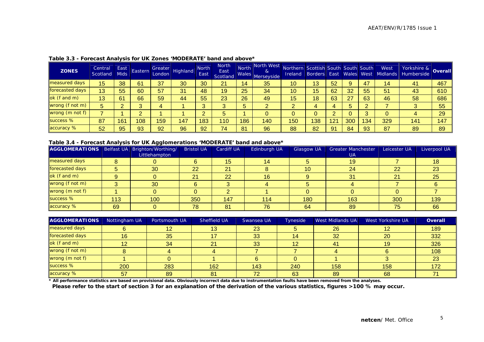| <b>ZONES</b>    | Central<br>Scotland | East<br><b>Mids</b> | Eastern | Greater<br>London | Highland | <b>North</b><br>East | <b>North</b><br>East<br>Scotland | North<br>Wales | North West<br>&<br>Merseyside | Northern Scottish South South South<br><b>Ireland</b> |     |     |     |     | West<br>Borders East Wales West Midlands | Yorkshire & Overall |     |
|-----------------|---------------------|---------------------|---------|-------------------|----------|----------------------|----------------------------------|----------------|-------------------------------|-------------------------------------------------------|-----|-----|-----|-----|------------------------------------------|---------------------|-----|
| measured days   | 15                  | 38                  | 61      | 37                | 30       | 30                   | 21                               | 14             | 35                            | 10                                                    | 13  | 52  | g.  | 47  | 14                                       | 41                  | 467 |
| forecasted days | 13                  | 55                  | 60      | 57                | 31       | 48                   | 19                               | 25             | 34                            | 10                                                    | 15  | 62  | 32  | 55  | 51                                       | 43                  | 610 |
| ok (f and m)    | 13                  | 61                  | 66      | 59                | 44       | 55                   | 23                               | 26             | 49                            | 15                                                    | 18  | 63  | 27  | 63  | 46                                       | 58                  | 686 |
| wrong (f not m) | 5                   |                     |         |                   |          |                      | 3                                | 5              | $\overline{2}$                |                                                       | д   |     |     |     |                                          | 3                   | 55  |
| wrong (m not f) |                     |                     |         |                   |          |                      | 5                                |                | 0                             |                                                       |     |     |     |     |                                          |                     | 29  |
| success %       | 87                  | 161                 | 108     | 159               | 147      | 183                  | 110                              | 186            | 140                           | 150                                                   | 138 | 121 | 300 | 134 | 329                                      | 141                 | 147 |
| accuracy %      | 52                  | 95                  | 93      | 92                | 96       | 92                   | 74                               | 81             | 96                            | 88                                                    | 82  | 91  | 84  | 93  | 87                                       | 89                  | 89  |

#### **Table 3.3 - Forecast Analysis for UK Zones 'MODERATE' band and above\***

#### **Table 3.4 - Forecast Analysis for UK Agglomerations 'MODERATE' band and above\***

| AGGLOMERATIONS   Belfast UA   Brighton/Worthing/ |     |               | <b>Bristol UA</b> | <b>Cardiff UA</b> | Edinburgh UA | <b>Glasgow UA</b> | <b>Greater Manchester</b> | Leicester UA | Liverpool UA |
|--------------------------------------------------|-----|---------------|-------------------|-------------------|--------------|-------------------|---------------------------|--------------|--------------|
|                                                  |     | Littlehampton |                   |                   |              |                   | UA.                       |              |              |
| measured days                                    | 8   |               |                   | 15 <sup>°</sup>   | 14           |                   | 19                        |              |              |
| forecasted days                                  | 5   | 30            | 22                | 21                |              | 10                | 24                        | 22           | 23           |
| ok (f and m)                                     |     |               | 21                | 22                | 16           |                   | 31                        | 21           | 25           |
| wrong (f not m)                                  |     | 30            |                   |                   |              |                   |                           |              |              |
| wrong $(m \text{ not } f)$                       |     |               |                   |                   |              |                   |                           |              |              |
| success %                                        | 113 | 100           | 350               | 147               | 114          | 180               | 163                       | 300          | 139          |
| accuracy %                                       | 69  |               | 78                | 81                | 76           | 64                | 89                        | 75           | 66           |

| AGGLOMERATIONS  | Nottingham UA | Portsmouth UA | Sheffield UA | Swansea UA | Tyneside | West Midlands UA | West Yorkshire UA | Overall |
|-----------------|---------------|---------------|--------------|------------|----------|------------------|-------------------|---------|
| measured days   |               | 12            | 13           | 23         |          | 26               |                   | 189     |
| forecasted days | 16            | 35            |              | 33         |          | 32               | 20                | 332     |
| $ok$ (f and m)  |               | 34            | 21           | 33         |          | 41               | 19                | 326     |
| wrong (f not m) |               |               |              |            |          |                  |                   | 108     |
| wrong (m not f) |               |               |              |            |          |                  |                   | 23      |
| success %       | 200           | 283           | 162          | 143        | 240      | 158              | 158               | 172     |
| accuracy %      | 57            | 89            | 81           | 72         | 63       | 89               | 68                |         |

**\* All performance statistics are based on provisional data. Obviously incorrect data due to instrumentation faults have been removed from the analyses. Please refer to the start of section 3 for an explanation of the derivation of the various statistics, figures >100 % may occur.**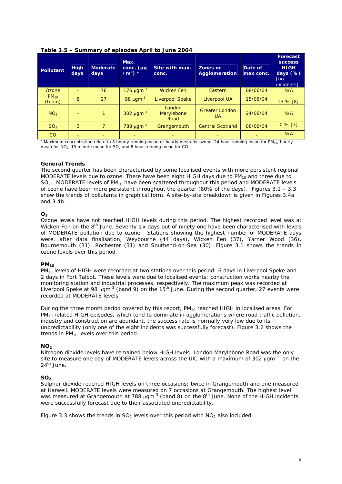| Pollutant           | <b>High</b><br>days | <b>Moderate</b><br>days | Max.<br>$conc.$ ( $\mu$ g<br>/m <sup>3</sup> ) $*$ | Site with max.<br>conc.      | <b>Zones or</b><br>Agglomeration   | Date of<br>max conc. | <b>Forecast</b><br><b>SUCCESS</b><br><b>HIGH</b><br>days $(\%)$<br>[no.<br><i>incidents1</i> |
|---------------------|---------------------|-------------------------|----------------------------------------------------|------------------------------|------------------------------------|----------------------|----------------------------------------------------------------------------------------------|
| Ozone               | $-$                 | 76                      | 176 $\mu$ gm <sup>-3</sup>                         | <b>Wicken Fen</b>            | Eastern                            | 08/06/04             | N/A                                                                                          |
| $PM_{10}$<br>(teom) | 8                   | 27                      | 98 $\mu$ gm <sup>-3</sup>                          | <b>Liverpool Speke</b>       | Liverpool UA                       | 15/06/04             | 13 % [8]                                                                                     |
| NO <sub>2</sub>     |                     |                         | 302 $\mu$ gm <sup>-3</sup>                         | London<br>Marylebone<br>Road | <b>Greater London</b><br><b>UA</b> | 24/06/04             | N/A                                                                                          |
| SO <sub>2</sub>     | 3                   | $\overline{7}$          | 788 μgm <sup>-3</sup>                              | Grangemouth                  | <b>Central Scotland</b>            | 08/06/04             | $0\%$ [3]                                                                                    |
| CO                  |                     |                         |                                                    |                              |                                    |                      | N/A                                                                                          |

**Table 3.5 – Summary of episodes April to June 2004** 

\* Maximum concentration relate to 8 hourly running mean or hourly mean for ozone, 24 hour running mean for PM<sub>10</sub>, hourly mean for  $NO<sub>2</sub>$ , 15 minute mean for  $SO<sub>2</sub>$  and 8 hour running mean for CO.

### **General Trends**

The second quarter has been characterised by some localised events with more persistent regional MODERATE levels due to ozone. There have been eight HIGH days due to  $PM_{10}$  and three due to  $SO<sub>2</sub>$ . MODERATE levels of PM<sub>10</sub> have been scattered throughout this period and MODERATE levels of ozone have been more persistent throughout the quarter (80% of the days). Figures 3.1 – 3.3 show the trends of pollutants in graphical form. A site-by-site breakdown is given in Figures 3.4a and 3.4b.

### $O<sub>3</sub>$

Ozone levels have not reached HIGH levels during this period. The highest recorded level was at Wicken Fen on the 8<sup>th</sup> June. Seventy six days out of ninety one have been characterised with levels of MODERATE pollution due to ozone. Stations showing the highest number of MODERATE days were, after data finalisation, Weybourne (44 days), Wicken Fen (37), Yarner Wood (36), Bournemouth (31), Rochester (31) and Southend-on-Sea (30). Figure 3.1 shows the trends in ozone levels over this period.

#### **PM<sub>10</sub>**

PM<sub>10</sub> levels of HIGH were recorded at two stations over this period: 6 days in Liverpool Speke and 2 days in Port Talbot. These levels were due to localised events: construction works nearby the monitoring station and industrial processes, respectively. The maximum peak was recorded at Liverpool Speke at 98  $\mu$ qm<sup>-3</sup> (band 9) on the 15<sup>th</sup> June. During the second quarter, 27 events were recorded at MODERATE levels.

During the three month period covered by this report,  $PM_{10}$  reached HIGH in localised areas. For PM<sub>10</sub> related HIGH episodes, which tend to dominate in agglomerations where road traffic pollution, industry and construction are abundant, the success rate is normally very low due to its unpredictability (only one of the eight incidents was successfully forecast). Figure 3.2 shows the trends in  $PM_{10}$  levels over this period.

#### $NO<sub>2</sub>$

Nitrogen dioxide levels have remained below HIGH levels. London Marylebone Road was the only site to measure one day of MODERATE levels across the UK, with a maximum of 302  $\mu$ gm<sup>-3</sup> on the  $24<sup>th</sup>$  June.

#### **SO<sub>2</sub>**

Sulphur dioxide reached HIGH levels on three occasions: twice in Grangemouth and one measured at Harwell. MODERATE levels were measured on 7 occasions at Grangemouth. The highest level was measured at Grangemouth at 788  $\mu$ gm<sup>-3</sup> (band 8) on the 8<sup>th</sup> June. None of the HIGH incidents were successfully forecast due to their associated unpredictability.

Figure 3.3 shows the trends in  $SO<sub>2</sub>$  levels over this period with  $NO<sub>2</sub>$  also included.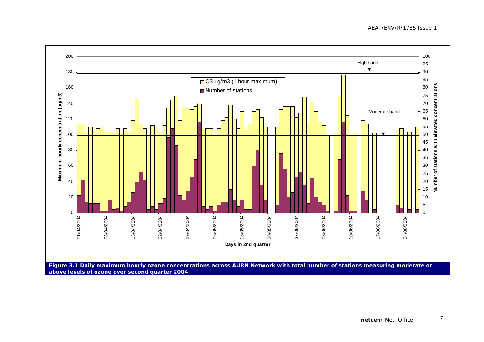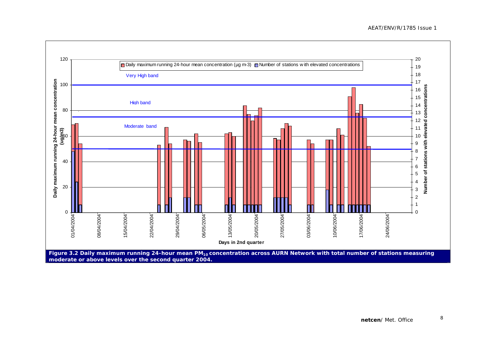![](_page_12_Figure_1.jpeg)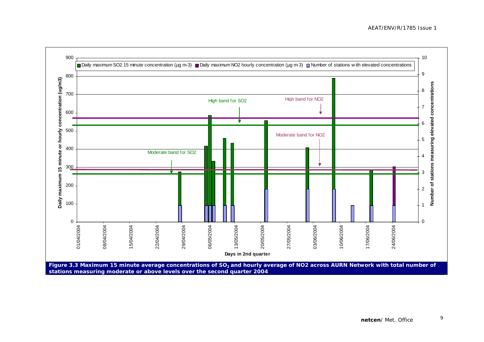![](_page_13_Figure_1.jpeg)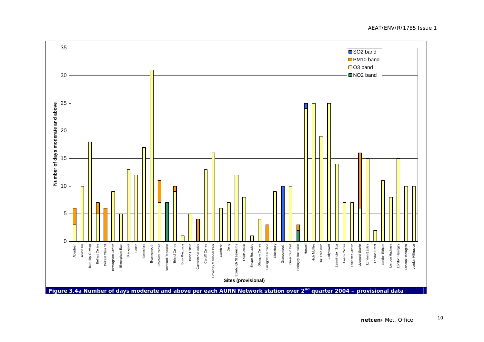![](_page_14_Figure_1.jpeg)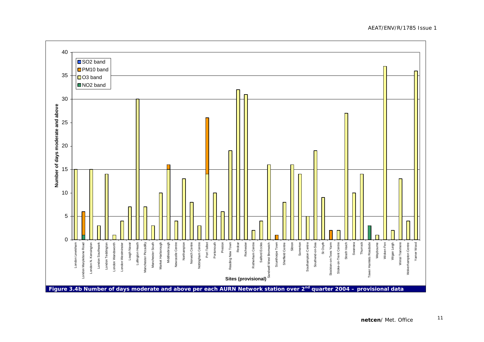![](_page_15_Figure_1.jpeg)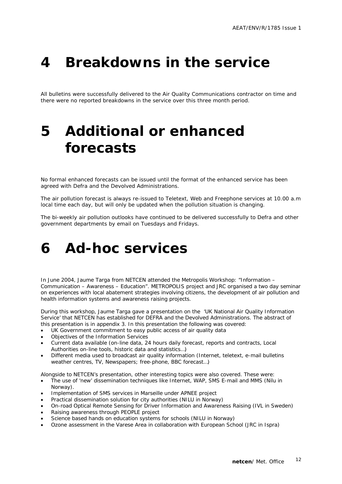### **4 Breakdowns in the service**

All bulletins were successfully delivered to the Air Quality Communications contractor on time and there were no reported breakdowns in the service over this three month period.

## **5 Additional or enhanced forecasts**

No formal enhanced forecasts can be issued until the format of the enhanced service has been agreed with Defra and the Devolved Administrations.

The air pollution forecast is always re-issued to Teletext, Web and Freephone services at 10.00 a.m local time each day, but will only be updated when the pollution situation is changing.

The bi-weekly air pollution outlooks have continued to be delivered successfully to Defra and other government departments by email on Tuesdays and Fridays.

### **6 Ad-hoc services**

In June 2004, Jaume Targa from NETCEN attended the Metropolis Workshop: "Information – Communication – Awareness – Education". METROPOLIS project and JRC organised a two day seminar on experiences with local abatement strategies involving citizens, the development of air pollution and health information systems and awareness raising projects.

During this workshop, Jaume Targa gave a presentation on the 'UK National Air Quality Information Service' that NETCEN has established for DEFRA and the Devolved Administrations. The abstract of this presentation is in appendix 3. In this presentation the following was covered:

- UK Government commitment to easy public access of air quality data
- Objectives of the Information Services
- Current data available (on-line data, 24 hours daily forecast, reports and contracts, Local Authorities on-line tools, historic data and statistics…)
- Different media used to broadcast air quality information (Internet, teletext, e-mail bulletins weather centres, TV, Newspapers; free-phone, BBC forecast…)

Alongside to NETCEN's presentation, other interesting topics were also covered. These were:

- The use of 'new' dissemination techniques like Internet, WAP, SMS E-mail and MMS (Nilu in Norway).
- Implementation of SMS services in Marseille under APNEE project
- Practical dissemination solution for city authorities (NILU in Norway)
- On-road Optical Remote Sensing for Driver Information and Awareness Raising (IVL in Sweden)
- Raising awareness through PEOPLE project
- Science based hands on education systems for schools (NILU in Norway)
- Ozone assessment in the Varese Area in collaboration with European School (JRC in Ispra)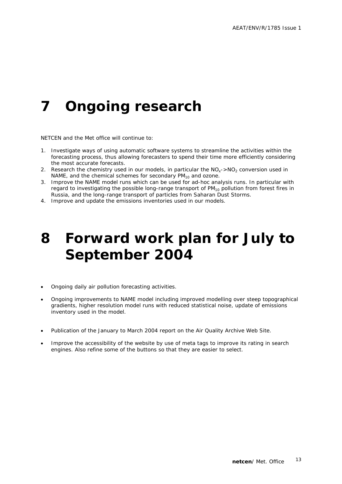# **7 Ongoing research**

NETCEN and the Met office will continue to:

- 1. Investigate ways of using automatic software systems to streamline the activities within the forecasting process, thus allowing forecasters to spend their time more efficiently considering the most accurate forecasts.
- 2. Research the chemistry used in our models, in particular the  $NO<sub>x</sub>$  >NO<sub>2</sub> conversion used in NAME, and the chemical schemes for secondary  $PM_{10}$  and ozone.
- 3. Improve the NAME model runs which can be used for ad-hoc analysis runs. In particular with regard to investigating the possible long-range transport of  $PM_{10}$  pollution from forest fires in Russia, and the long-range transport of particles from Saharan Dust Storms.
- 4. Improve and update the emissions inventories used in our models.

## **8 Forward work plan for July to September 2004**

- Ongoing daily air pollution forecasting activities.
- Ongoing improvements to NAME model including improved modelling over steep topographical gradients, higher resolution model runs with reduced statistical noise, update of emissions inventory used in the model.
- Publication of the January to March 2004 report on the Air Quality Archive Web Site.
- Improve the accessibility of the website by use of meta tags to improve its rating in search engines. Also refine some of the buttons so that they are easier to select.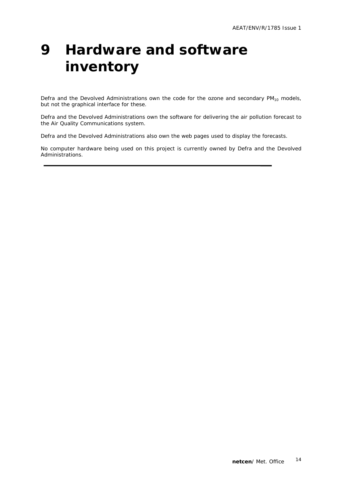# **9 Hardware and software inventory**

Defra and the Devolved Administrations own the code for the ozone and secondary  $PM_{10}$  models, but not the graphical interface for these.

Defra and the Devolved Administrations own the software for delivering the air pollution forecast to the Air Quality Communications system.

Defra and the Devolved Administrations also own the web pages used to display the forecasts.

No computer hardware being used on this project is currently owned by Defra and the Devolved Administrations.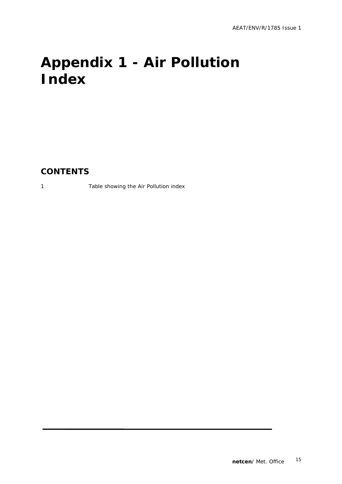# **Appendix 1 - Air Pollution Index**

**CONTENTS** 

1 Table showing the Air Pollution index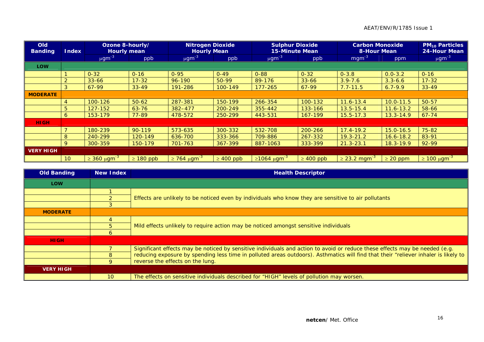### AEAT/ENV/R/1785 Issue 1

| <b>Old</b><br><b>Banding</b> | Ozone 8-hourly/<br><b>Hourly mean</b><br><b>Index</b> |                                 |                | <b>Nitrogen Dioxide</b><br><b>Hourly Mean</b> |                | <b>Sulphur Dioxide</b><br><b>15-Minute Mean</b> | <b>Carbon Monoxide</b><br><b>8-Hour Mean</b> | $PM_{10}$ Particles<br>24-Hour Mean |               |                         |
|------------------------------|-------------------------------------------------------|---------------------------------|----------------|-----------------------------------------------|----------------|-------------------------------------------------|----------------------------------------------|-------------------------------------|---------------|-------------------------|
|                              |                                                       | $\mu$ gm <sup>-3</sup>          | ppb            | $\mu$ gm <sup>-3</sup>                        | ppb            | $\mu$ gm <sup>-3</sup>                          | ppb                                          | $mgm^{-3}$                          | ppm           | $\mu$ gm <sup>-3</sup>  |
| <b>LOW</b>                   |                                                       |                                 |                |                                               |                |                                                 |                                              |                                     |               |                         |
|                              |                                                       | $0 - 32$                        | $0 - 16$       | $0 - 95$                                      | $0 - 49$       | $0 - 88$                                        | $0 - 32$                                     | $0 - 3.8$                           | $0.0 - 3.2$   | $0 - 16$                |
|                              | 2                                                     | $33 - 66$                       | $17 - 32$      | $96 - 190$                                    | 50-99          | 89-176                                          | $33 - 66$                                    | $3.9 - 7.6$                         | $3.3 - 6.6$   | $17 - 32$               |
|                              | 3                                                     | 67-99                           | $33 - 49$      | 191-286                                       | 100-149        | $177 - 265$                                     | $67-99$                                      | $7.7 - 11.5$                        | $6.7 - 9.9$   | $33 - 49$               |
| <b>MODERATE</b>              |                                                       |                                 |                |                                               |                |                                                 |                                              |                                     |               |                         |
|                              | 4                                                     | 100-126                         | $50 - 62$      | 287-381                                       | 150-199        | 266-354                                         | 100-132                                      | $11.6 - 13.4$                       | $10.0 - 11.5$ | $50 - 57$               |
|                              | 5                                                     | 127-152                         | $63 - 76$      | $382 - 477$                                   | 200-249        | 355-442                                         | 133-166                                      | $13.5 - 15.4$                       | $11.6 - 13.2$ | 58-66                   |
|                              | 6                                                     | 153-179                         | $77 - 89$      | 478-572                                       | 250-299        | 443-531                                         | 167-199                                      | $15.5 - 17.3$                       | $13.3 - 14.9$ | $67 - 74$               |
| <b>HIGH</b>                  |                                                       |                                 |                |                                               |                |                                                 |                                              |                                     |               |                         |
|                              |                                                       | 180-239                         | $90 - 119$     | 573-635                                       | 300-332        | 532-708                                         | 200-266                                      | $17.4 - 19.2$                       | $15.0 - 16.5$ | 75-82                   |
|                              | 8                                                     | 240-299                         | 120-149        | 636-700                                       | 333-366        | 709-886                                         | 267-332                                      | $19.3 - 21.2$                       | $16.6 - 18.2$ | 83-91                   |
|                              | 9                                                     | 300-359                         | 150-179        | 701-763                                       | 367-399        | 887-1063                                        | 333-399                                      | $21.3 - 23.1$                       | $18.3 - 19.9$ | 92-99                   |
| <b>VERY HIGH</b>             |                                                       |                                 |                |                                               |                |                                                 |                                              |                                     |               |                         |
|                              | 10 <sup>°</sup>                                       | $\geq 360 \ \mu \text{gm}^{-3}$ | $\geq 180$ ppb | $\geq$ 764 μgm <sup>-3</sup>                  | $\geq 400$ ppb | $\geq 1064 \mu$ gm <sup>-3</sup>                | $\geq 400$ ppb                               | $\geq$ 23.2 mgm <sup>-3</sup>       | $\geq$ 20 ppm | $\geq 100 \mu g m^{-3}$ |

| <b>Old Banding</b> | New Index       | <b>Health Descriptor</b>                                                                                                            |
|--------------------|-----------------|-------------------------------------------------------------------------------------------------------------------------------------|
| <b>LOW</b>         |                 |                                                                                                                                     |
|                    |                 |                                                                                                                                     |
|                    |                 | Effects are unlikely to be noticed even by individuals who know they are sensitive to air pollutants                                |
|                    |                 |                                                                                                                                     |
| <b>MODERATE</b>    |                 |                                                                                                                                     |
|                    |                 |                                                                                                                                     |
|                    |                 | Mild effects unlikely to require action may be noticed amongst sensitive individuals                                                |
|                    | 6               |                                                                                                                                     |
| <b>HIGH</b>        |                 |                                                                                                                                     |
|                    |                 | Significant effects may be noticed by sensitive individuals and action to avoid or reduce these effects may be needed (e.g.         |
|                    |                 | reducing exposure by spending less time in polluted areas outdoors). Asthmatics will find that their "reliever inhaler is likely to |
|                    | 9               | reverse the effects on the lung.                                                                                                    |
| <b>VERY HIGH</b>   |                 |                                                                                                                                     |
|                    | 10 <sup>°</sup> | The effects on sensitive individuals described for "HIGH" levels of pollution may worsen.                                           |

**C**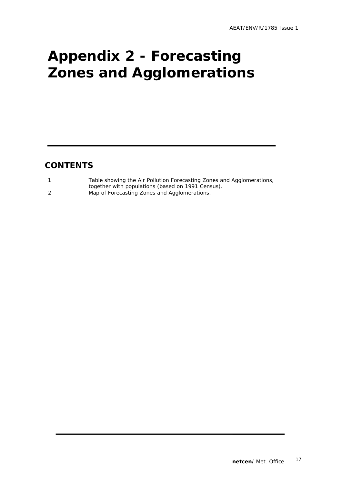# **Appendix 2 - Forecasting Zones and Agglomerations**

### **CONTENTS**

| Table showing the Air Pollution Forecasting Zones and Agglomerations, |
|-----------------------------------------------------------------------|
| together with populations (based on 1991 Census).                     |
| Map of Forecasting Zones and Agglomerations.                          |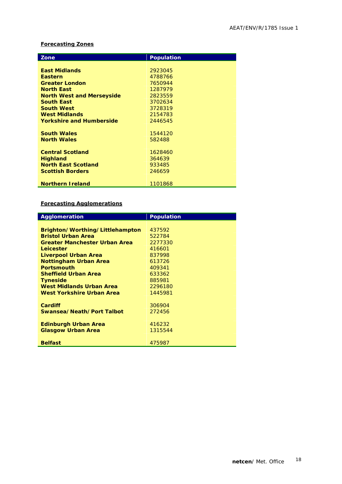### **Forecasting Zones**

| Zone                             | <b>Population</b> |  |
|----------------------------------|-------------------|--|
|                                  |                   |  |
| <b>East Midlands</b>             | 2923045           |  |
| <b>Eastern</b>                   | 4788766           |  |
| <b>Greater London</b>            | 7650944           |  |
| <b>North East</b>                | 1287979           |  |
| <b>North West and Merseyside</b> | 2823559           |  |
| <b>South East</b>                | 3702634           |  |
| <b>South West</b>                | 3728319           |  |
| <b>West Midlands</b>             | 2154783           |  |
| <b>Yorkshire and Humberside</b>  | 2446545           |  |
|                                  |                   |  |
| <b>South Wales</b>               | 1544120           |  |
| <b>North Wales</b>               | 582488            |  |
|                                  |                   |  |
| <b>Central Scotland</b>          | 1628460           |  |
| <b>Highland</b>                  | 364639            |  |
| <b>North East Scotland</b>       | 933485            |  |
| <b>Scottish Borders</b>          | 246659            |  |
|                                  |                   |  |
| <b>Northern Ireland</b>          | 1101868           |  |

### **Forecasting Agglomerations**

| Agglomeration                        | <b>Population</b> |
|--------------------------------------|-------------------|
|                                      |                   |
| Brighton/Worthing/Littlehampton      | 437592            |
| <b>Bristol Urban Area</b>            | 522784            |
| <b>Greater Manchester Urban Area</b> | 2277330           |
| Leicester                            | 416601            |
| Liverpool Urban Area                 | 837998            |
| <b>Nottingham Urban Area</b>         | 613726            |
| <b>Portsmouth</b>                    | 409341            |
| <b>Sheffield Urban Area</b>          | 633362            |
| <b>Tyneside</b>                      | 885981            |
| West Midlands Urban Area             | 2296180           |
| West Yorkshire Urban Area            | 1445981           |
|                                      |                   |
| Cardiff                              | 306904            |
| Swansea/Neath/Port Talbot            | 272456            |
|                                      |                   |
| <b>Edinburgh Urban Area</b>          | 416232            |
| <b>Glasgow Urban Area</b>            | 1315544           |
|                                      |                   |
| <b>Belfast</b>                       | 475987            |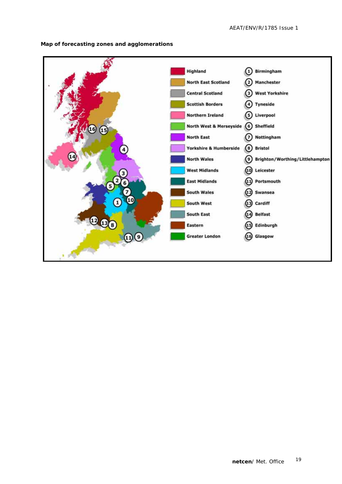![](_page_23_Figure_1.jpeg)

#### **Map of forecasting zones and agglomerations**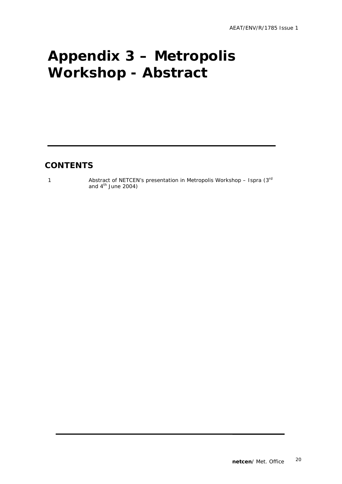# **Appendix 3 – Metropolis Workshop - Abstract**

### **CONTENTS**

1 Abstract of NETCEN's presentation in Metropolis Workshop – Ispra (3rd) and  $4<sup>th</sup>$  June 2004)